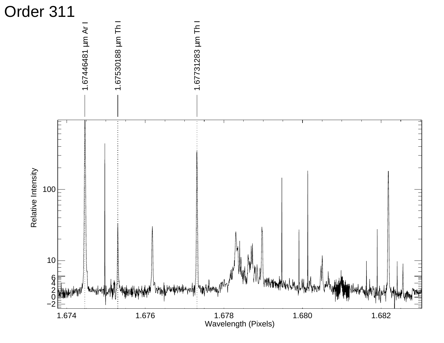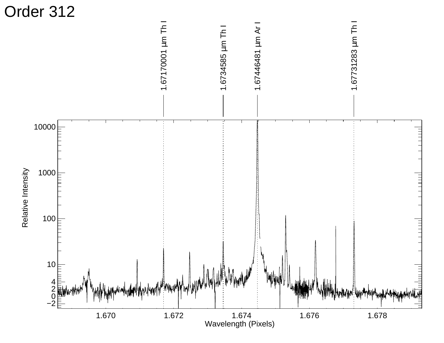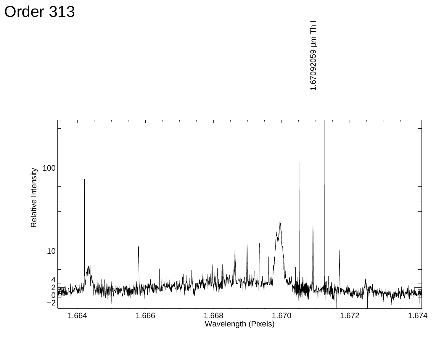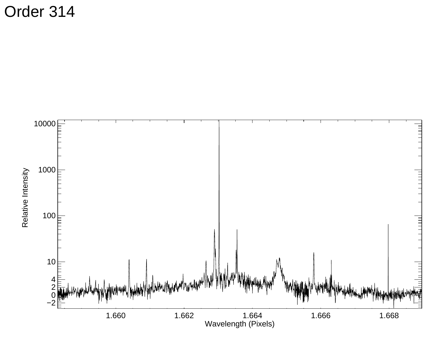Order 314

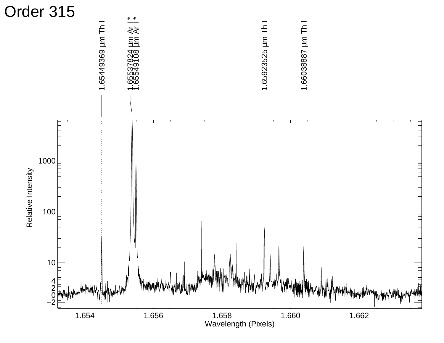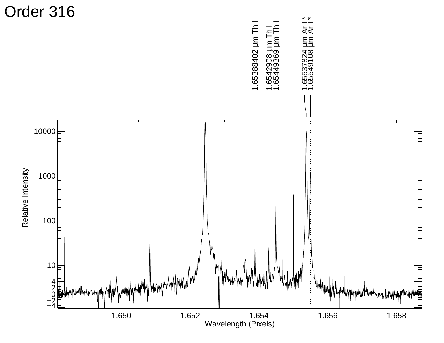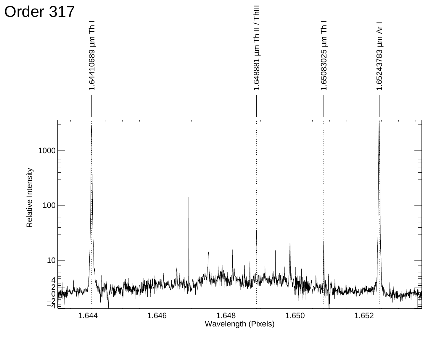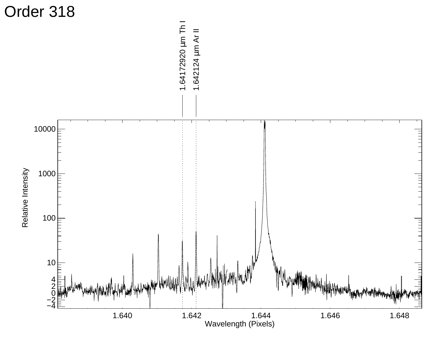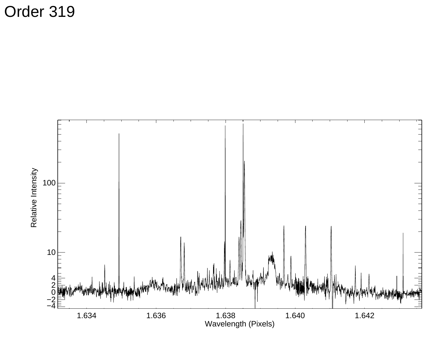Order 319

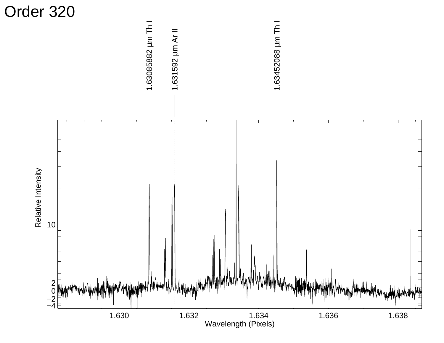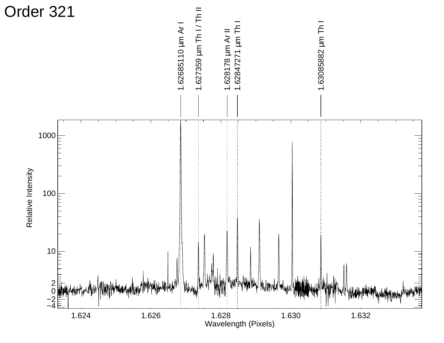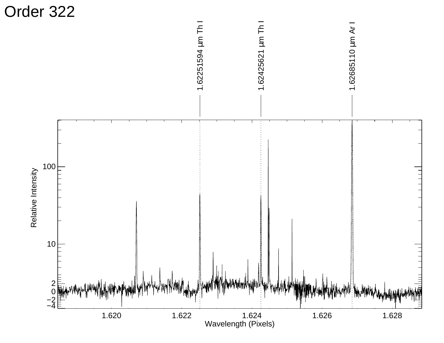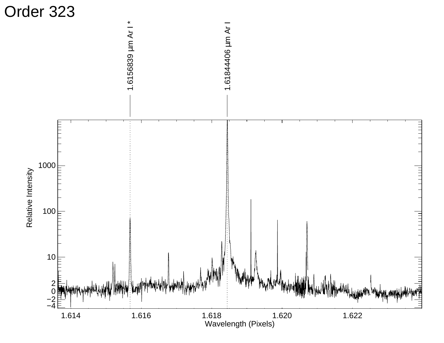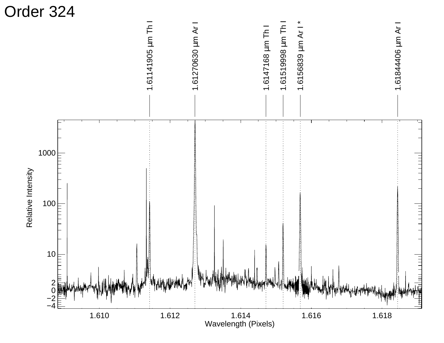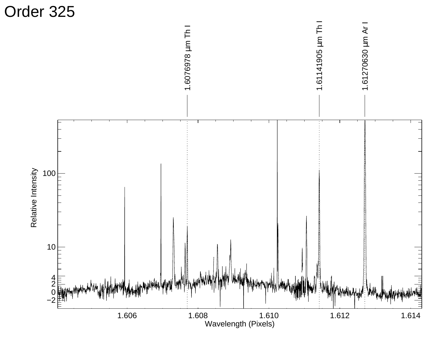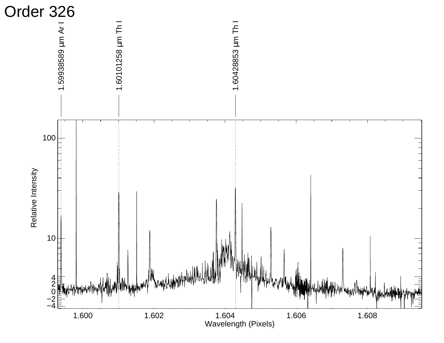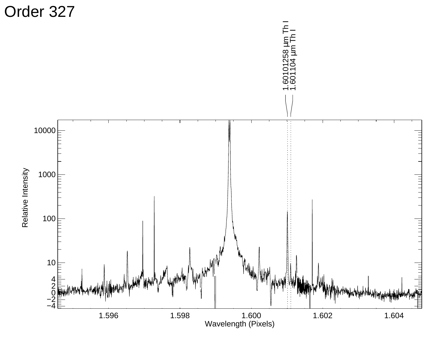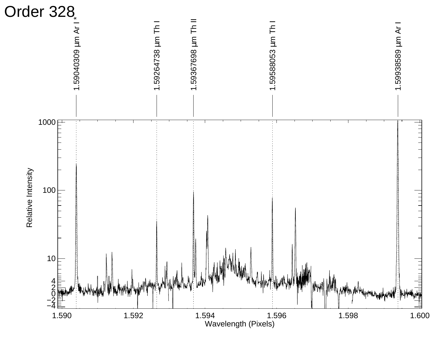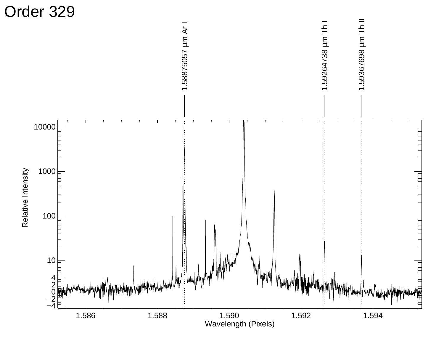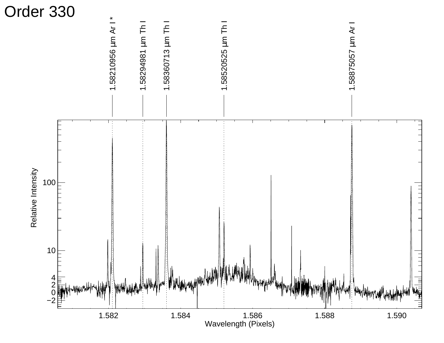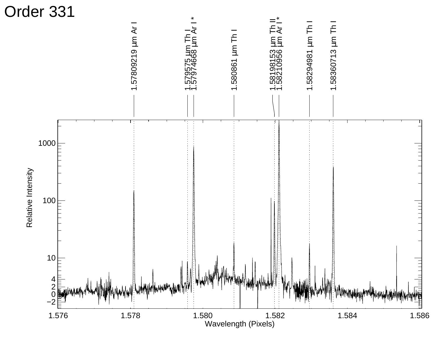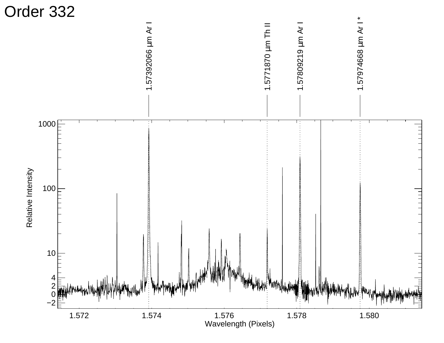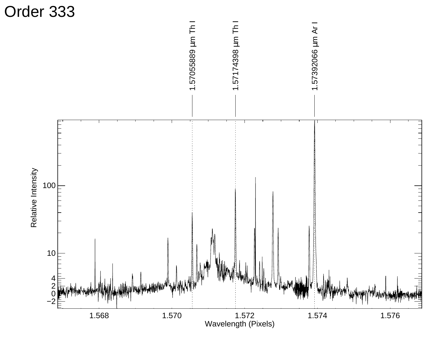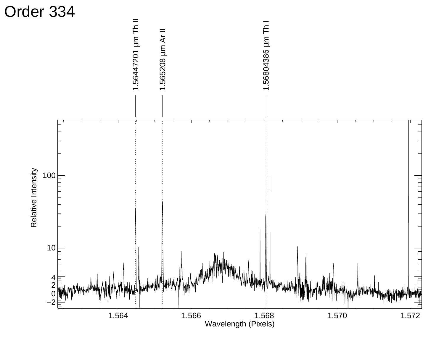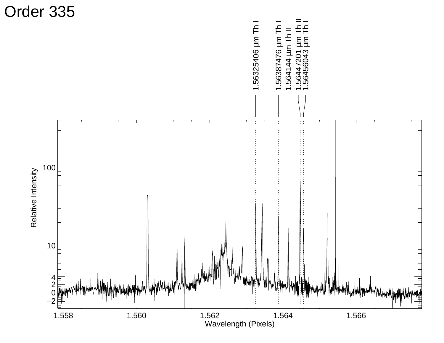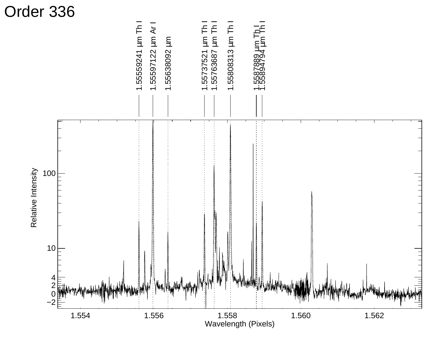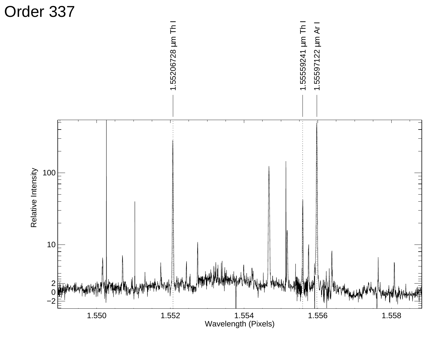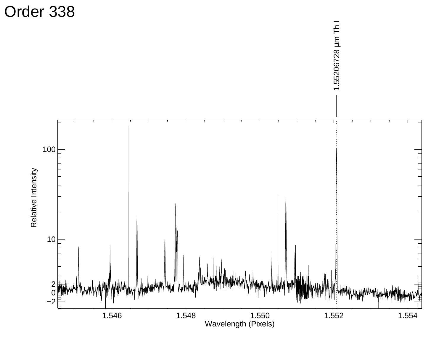

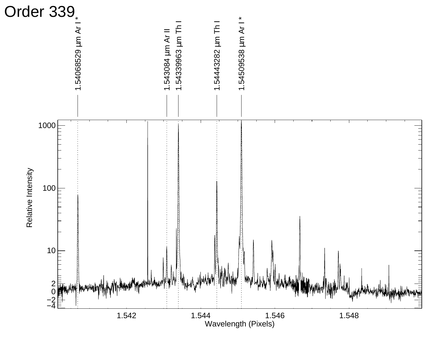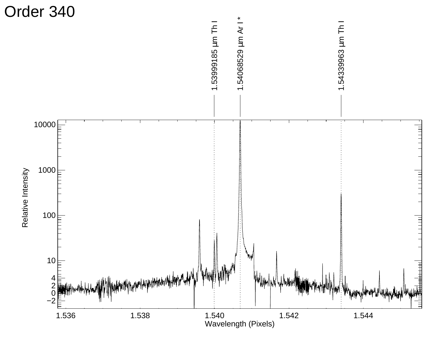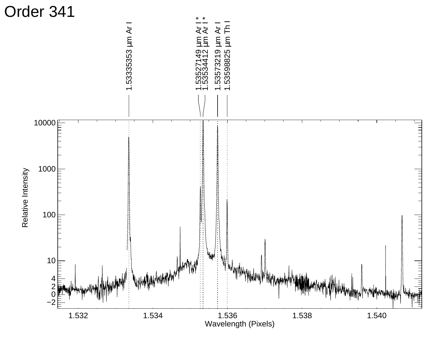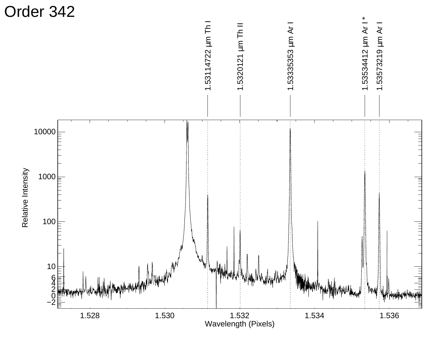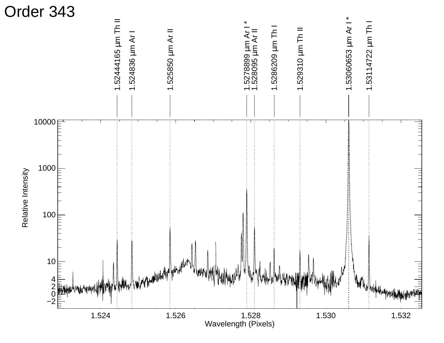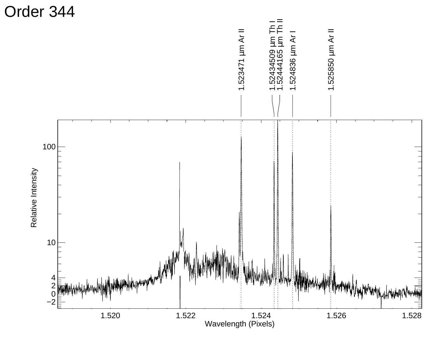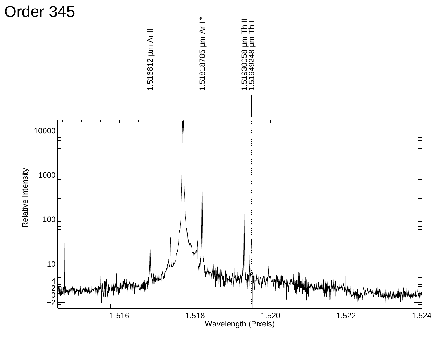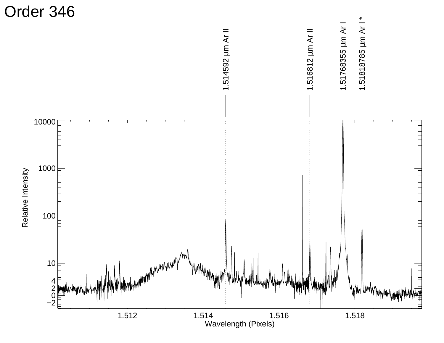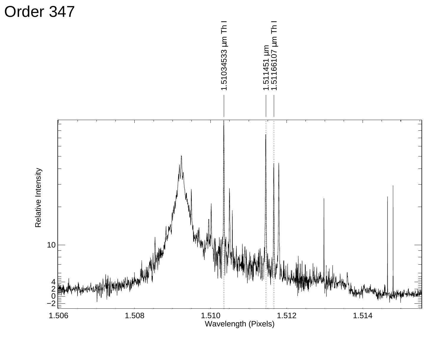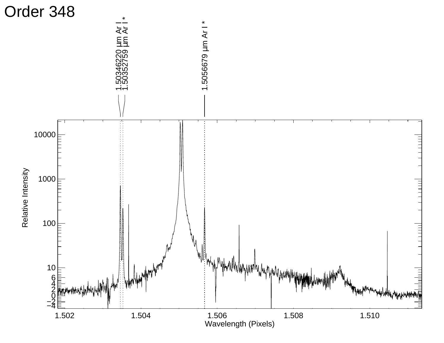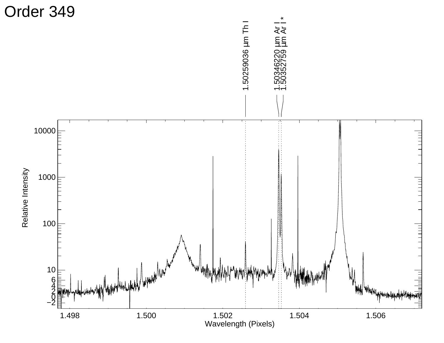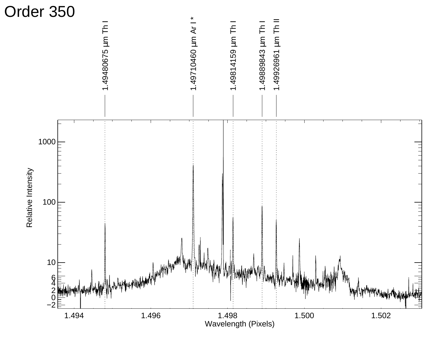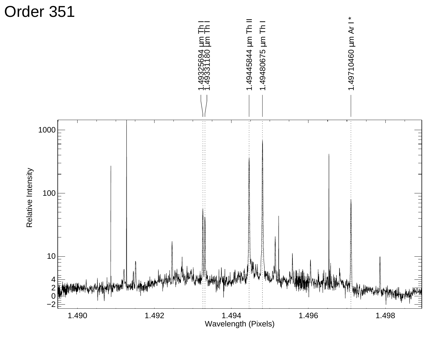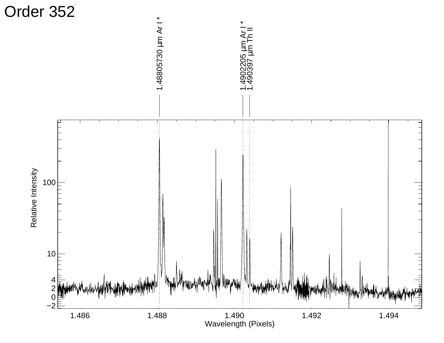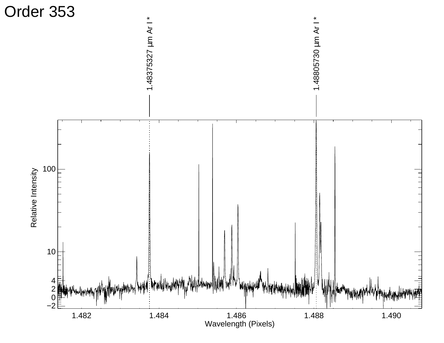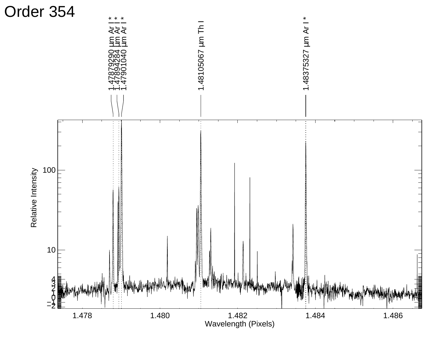